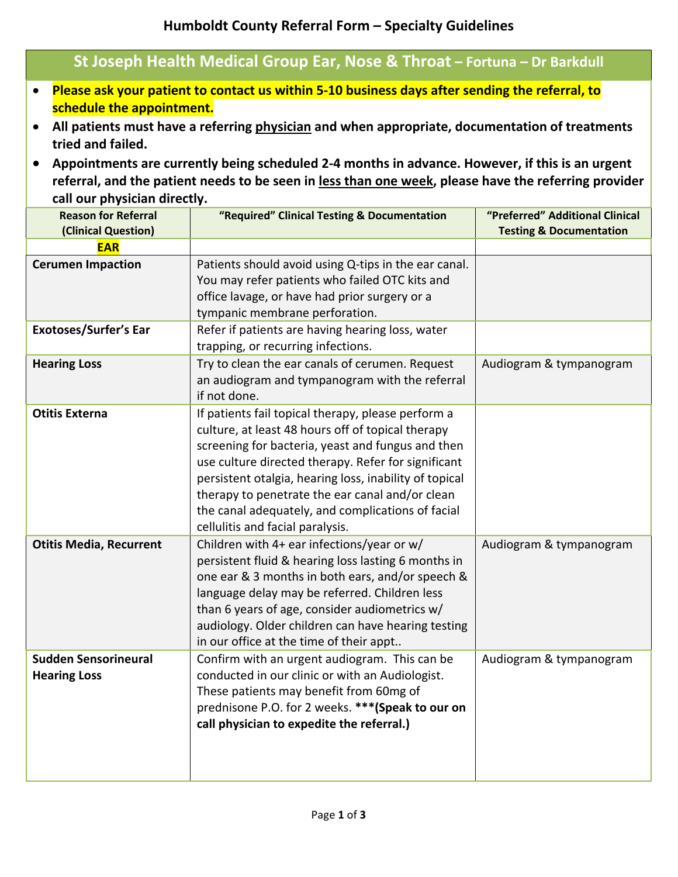## **Humboldt County Referral Form – Specialty Guidelines**

| St Joseph Health Medical Group Ear, Nose & Throat - Fortuna - Dr Barkdull |                                                                                                                                                                                                                                                                                                                                                                                                                                                                                               |                                                                                                                                                                                                                                                                             |                                                                       |  |  |  |  |
|---------------------------------------------------------------------------|-----------------------------------------------------------------------------------------------------------------------------------------------------------------------------------------------------------------------------------------------------------------------------------------------------------------------------------------------------------------------------------------------------------------------------------------------------------------------------------------------|-----------------------------------------------------------------------------------------------------------------------------------------------------------------------------------------------------------------------------------------------------------------------------|-----------------------------------------------------------------------|--|--|--|--|
|                                                                           | Please ask your patient to contact us within 5-10 business days after sending the referral, to<br>schedule the appointment.<br>All patients must have a referring physician and when appropriate, documentation of treatments<br>tried and failed.<br>Appointments are currently being scheduled 2-4 months in advance. However, if this is an urgent<br>referral, and the patient needs to be seen in less than one week, please have the referring provider<br>call our physician directly. |                                                                                                                                                                                                                                                                             |                                                                       |  |  |  |  |
|                                                                           | <b>Reason for Referral</b><br>(Clinical Question)                                                                                                                                                                                                                                                                                                                                                                                                                                             | "Required" Clinical Testing & Documentation                                                                                                                                                                                                                                 | "Preferred" Additional Clinical<br><b>Testing &amp; Documentation</b> |  |  |  |  |
|                                                                           | <b>EAR</b>                                                                                                                                                                                                                                                                                                                                                                                                                                                                                    |                                                                                                                                                                                                                                                                             |                                                                       |  |  |  |  |
| <b>Cerumen Impaction</b>                                                  |                                                                                                                                                                                                                                                                                                                                                                                                                                                                                               | Patients should avoid using Q-tips in the ear canal.<br>You may refer patients who failed OTC kits and<br>office lavage, or have had prior surgery or a<br>tympanic membrane perforation.                                                                                   |                                                                       |  |  |  |  |
| <b>Exotoses/Surfer's Ear</b>                                              |                                                                                                                                                                                                                                                                                                                                                                                                                                                                                               | Refer if patients are having hearing loss, water<br>trapping, or recurring infections.                                                                                                                                                                                      |                                                                       |  |  |  |  |
| <b>Hearing Loss</b>                                                       |                                                                                                                                                                                                                                                                                                                                                                                                                                                                                               | Try to clean the ear canals of cerumen. Request<br>an audiogram and tympanogram with the referral<br>if not done.                                                                                                                                                           | Audiogram & tympanogram                                               |  |  |  |  |
|                                                                           | <b>Otitis Externa</b>                                                                                                                                                                                                                                                                                                                                                                                                                                                                         | If patients fail topical therapy, please perform a<br>culture, at least 48 hours off of topical therapy<br>screening for bacteria, yeast and fungus and then<br>use culture directed therapy. Refer for significant<br>nersistent otalgia hearing loss inability of tonical |                                                                       |  |  |  |  |

|                                                    | persistent otalgia, hearing loss, inability of topical<br>therapy to penetrate the ear canal and/or clean<br>the canal adequately, and complications of facial<br>cellulitis and facial paralysis.                                                                                                                                                         |                         |
|----------------------------------------------------|------------------------------------------------------------------------------------------------------------------------------------------------------------------------------------------------------------------------------------------------------------------------------------------------------------------------------------------------------------|-------------------------|
| <b>Otitis Media, Recurrent</b>                     | Children with 4+ ear infections/year or w/<br>persistent fluid & hearing loss lasting 6 months in<br>one ear & 3 months in both ears, and/or speech &<br>language delay may be referred. Children less<br>than 6 years of age, consider audiometrics $w/$<br>audiology. Older children can have hearing testing<br>in our office at the time of their appt | Audiogram & tympanogram |
| <b>Sudden Sensorineural</b><br><b>Hearing Loss</b> | Confirm with an urgent audiogram. This can be<br>conducted in our clinic or with an Audiologist.<br>These patients may benefit from 60mg of<br>prednisone P.O. for 2 weeks. *** (Speak to our on<br>call physician to expedite the referral.)                                                                                                              | Audiogram & tympanogram |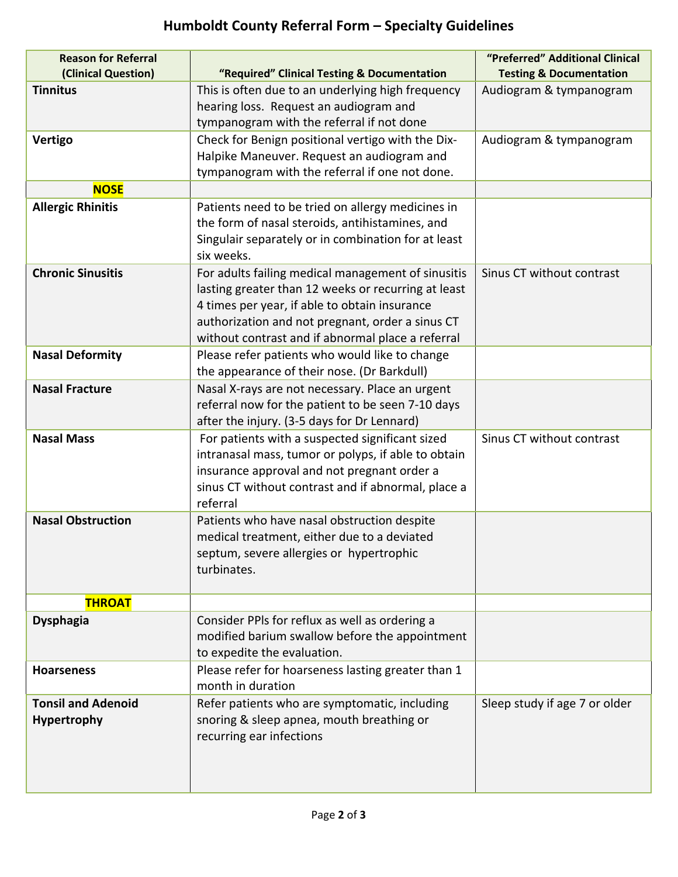## **Humboldt County Referral Form – Specialty Guidelines**

| <b>Reason for Referral</b><br>(Clinical Question) | "Required" Clinical Testing & Documentation                                                          | "Preferred" Additional Clinical<br><b>Testing &amp; Documentation</b> |
|---------------------------------------------------|------------------------------------------------------------------------------------------------------|-----------------------------------------------------------------------|
| <b>Tinnitus</b>                                   | This is often due to an underlying high frequency                                                    | Audiogram & tympanogram                                               |
|                                                   | hearing loss. Request an audiogram and                                                               |                                                                       |
|                                                   | tympanogram with the referral if not done                                                            |                                                                       |
| <b>Vertigo</b>                                    | Check for Benign positional vertigo with the Dix-                                                    | Audiogram & tympanogram                                               |
|                                                   | Halpike Maneuver. Request an audiogram and                                                           |                                                                       |
|                                                   | tympanogram with the referral if one not done.                                                       |                                                                       |
| <b>NOSE</b>                                       |                                                                                                      |                                                                       |
| <b>Allergic Rhinitis</b>                          | Patients need to be tried on allergy medicines in                                                    |                                                                       |
|                                                   | the form of nasal steroids, antihistamines, and                                                      |                                                                       |
|                                                   | Singulair separately or in combination for at least                                                  |                                                                       |
|                                                   | six weeks.                                                                                           |                                                                       |
| <b>Chronic Sinusitis</b>                          | For adults failing medical management of sinusitis                                                   | Sinus CT without contrast                                             |
|                                                   | lasting greater than 12 weeks or recurring at least                                                  |                                                                       |
|                                                   | 4 times per year, if able to obtain insurance                                                        |                                                                       |
|                                                   | authorization and not pregnant, order a sinus CT                                                     |                                                                       |
|                                                   | without contrast and if abnormal place a referral                                                    |                                                                       |
| <b>Nasal Deformity</b>                            | Please refer patients who would like to change                                                       |                                                                       |
| <b>Nasal Fracture</b>                             | the appearance of their nose. (Dr Barkdull)                                                          |                                                                       |
|                                                   | Nasal X-rays are not necessary. Place an urgent<br>referral now for the patient to be seen 7-10 days |                                                                       |
|                                                   | after the injury. (3-5 days for Dr Lennard)                                                          |                                                                       |
| <b>Nasal Mass</b>                                 | For patients with a suspected significant sized                                                      | Sinus CT without contrast                                             |
|                                                   | intranasal mass, tumor or polyps, if able to obtain                                                  |                                                                       |
|                                                   | insurance approval and not pregnant order a                                                          |                                                                       |
|                                                   | sinus CT without contrast and if abnormal, place a                                                   |                                                                       |
|                                                   | referral                                                                                             |                                                                       |
| <b>Nasal Obstruction</b>                          | Patients who have nasal obstruction despite                                                          |                                                                       |
|                                                   | medical treatment, either due to a deviated                                                          |                                                                       |
|                                                   | septum, severe allergies or hypertrophic                                                             |                                                                       |
|                                                   | turbinates.                                                                                          |                                                                       |
|                                                   |                                                                                                      |                                                                       |
| <b>THROAT</b>                                     |                                                                                                      |                                                                       |
| <b>Dysphagia</b>                                  | Consider PPIs for reflux as well as ordering a                                                       |                                                                       |
|                                                   | modified barium swallow before the appointment                                                       |                                                                       |
|                                                   | to expedite the evaluation.                                                                          |                                                                       |
| <b>Hoarseness</b>                                 | Please refer for hoarseness lasting greater than 1<br>month in duration                              |                                                                       |
| <b>Tonsil and Adenoid</b>                         |                                                                                                      |                                                                       |
|                                                   | Refer patients who are symptomatic, including                                                        | Sleep study if age 7 or older                                         |
| Hypertrophy                                       | snoring & sleep apnea, mouth breathing or<br>recurring ear infections                                |                                                                       |
|                                                   |                                                                                                      |                                                                       |
|                                                   |                                                                                                      |                                                                       |
|                                                   |                                                                                                      |                                                                       |